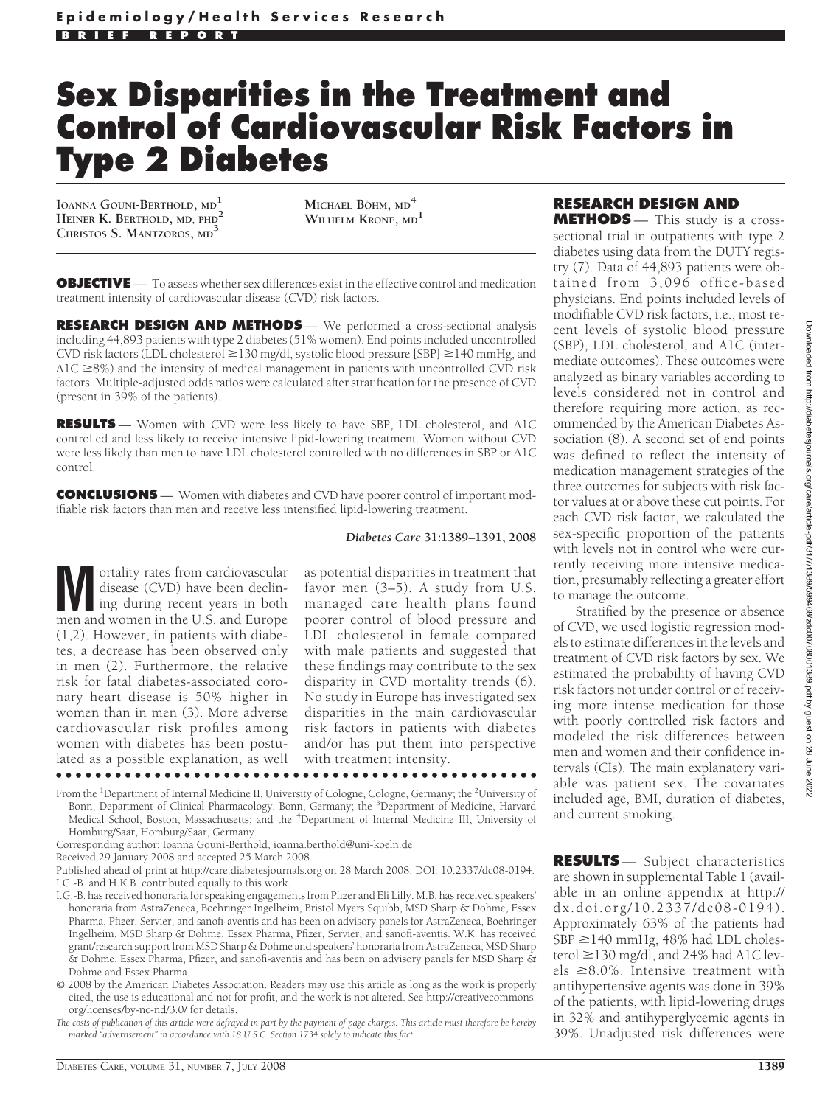# **Sex Disparities in the Treatment and Control of Cardiovascular Risk Factors in Type 2 Diabetes**

**IOANNA GOUNI-BERTHOLD, MD<sup>1</sup> HEINER K. BERTHOLD, MD, PHD<sup>2</sup> CHRISTOS S. MANTZOROS, MD<sup>3</sup>**

**MICHAEL B¨OHM, MD<sup>4</sup> WILHELM KRONE, MD<sup>1</sup>**

**OBJECTIVE** — To assess whether sex differences exist in the effective control and medication treatment intensity of cardiovascular disease (CVD) risk factors.

**RESEARCH DESIGN AND METHODS** - We performed a cross-sectional analysis including 44,893 patients with type 2 diabetes (51% women). End points included uncontrolled CVD risk factors (LDL cholesterol  $\geq$  130 mg/dl, systolic blood pressure [SBP]  $\geq$  140 mmHg, and A1C  $\geq$ 8%) and the intensity of medical management in patients with uncontrolled CVD risk factors. Multiple-adjusted odds ratios were calculated after stratification for the presence of CVD (present in 39% of the patients).

**RESULTS** — Women with CVD were less likely to have SBP, LDL cholesterol, and A1C controlled and less likely to receive intensive lipid-lowering treatment. Women without CVD were less likely than men to have LDL cholesterol controlled with no differences in SBP or A1C control.

**CONCLUSIONS** — Women with diabetes and CVD have poorer control of important modifiable risk factors than men and receive less intensified lipid-lowering treatment.

#### *Diabetes Care* **31:1389–1391, 2008**

**M** ortality rates from cardiovascular<br>disease (CVD) have been declining during recent years in both<br>men and women in the U.S. and Europe disease (CVD) have been declining during recent years in both men and women in the U.S. and Europe (1,2). However, in patients with diabetes, a decrease has been observed only in men (2). Furthermore, the relative risk for fatal diabetes-associated coronary heart disease is 50% higher in women than in men (3). More adverse cardiovascular risk profiles among women with diabetes has been postulated as a possible explanation, as well ●●●●●●●●●●●●●●●●●●●●●●●●●●●●●●●●●●●●●●●●●●●●●●●●●

as potential disparities in treatment that favor men (3–5). A study from U.S. managed care health plans found poorer control of blood pressure and LDL cholesterol in female compared with male patients and suggested that these findings may contribute to the sex disparity in CVD mortality trends (6). No study in Europe has investigated sex disparities in the main cardiovascular risk factors in patients with diabetes and/or has put them into perspective with treatment intensity.

- From the <sup>1</sup>Department of Internal Medicine II, University of Cologne, Cologne, Germany; the <sup>2</sup>University of Bonn, Department of Clinical Pharmacology, Bonn, Germany; the <sup>3</sup>Department of Medicine, Harvard Medical School, Boston, Massachusetts; and the <sup>4</sup>Department of Internal Medicine III, University of Homburg/Saar, Homburg/Saar, Germany.
- Corresponding author: Ioanna Gouni-Berthold, ioanna.berthold@uni-koeln.de.

Received 29 January 2008 and accepted 25 March 2008.

- I.G.-B. has received honoraria for speaking engagements from Pfizer and Eli Lilly. M.B. has received speakers' honoraria from AstraZeneca, Boehringer Ingelheim, Bristol Myers Squibb, MSD Sharp & Dohme, Essex Pharma, Pfizer, Servier, and sanofi-aventis and has been on advisory panels for AstraZeneca, Boehringer Ingelheim, MSD Sharp & Dohme, Essex Pharma, Pfizer, Servier, and sanofi-aventis. W.K. has received grant/research support from MSD Sharp & Dohme and speakers' honoraria from AstraZeneca, MSD Sharp & Dohme, Essex Pharma, Pfizer, and sanofi-aventis and has been on advisory panels for MSD Sharp & Dohme and Essex Pharma.
- © 2008 by the American Diabetes Association. Readers may use this article as long as the work is properly cited, the use is educational and not for profit, and the work is not altered. See http://creativecommons. org/licenses/by-nc-nd/3.0/ for details.

*The costs of publication of this article were defrayed in part by the payment of page charges. This article must therefore be hereby marked "advertisement" in accordance with 18 U.S.C. Section 1734 solely to indicate this fact.*

## **RESEARCH DESIGN AND**

**METHODS** — This study is a crosssectional trial in outpatients with type 2 diabetes using data from the DUTY registry (7). Data of 44,893 patients were obtained from 3,096 office-based physicians. End points included levels of modifiable CVD risk factors, i.e., most recent levels of systolic blood pressure (SBP), LDL cholesterol, and A1C (intermediate outcomes). These outcomes were analyzed as binary variables according to levels considered not in control and therefore requiring more action, as recommended by the American Diabetes Association (8). A second set of end points was defined to reflect the intensity of medication management strategies of the three outcomes for subjects with risk factor values at or above these cut points. For each CVD risk factor, we calculated the sex-specific proportion of the patients with levels not in control who were currently receiving more intensive medication, presumably reflecting a greater effort to manage the outcome.

Stratified by the presence or absence of CVD, we used logistic regression models to estimate differences in the levels and treatment of CVD risk factors by sex. We estimated the probability of having CVD risk factors not under control or of receiving more intense medication for those with poorly controlled risk factors and modeled the risk differences between men and women and their confidence intervals (CIs). The main explanatory variable was patient sex. The covariates included age, BMI, duration of diabetes, and current smoking.

**RESULTS** — Subject characteristics are shown in supplemental Table 1 (available in an online appendix at http:// dx.doi.org/10.2337/dc08-0194). Approximately 63% of the patients had  $SBP \geq 140$  mmHg, 48% had LDL cholesterol ≥130 mg/dl, and 24% had A1C levels  $\geq$ 8.0%. Intensive treatment with antihypertensive agents was done in 39% of the patients, with lipid-lowering drugs in 32% and antihyperglycemic agents in 39%. Unadjusted risk differences were

Published ahead of print at http://care.diabetesjournals.org on 28 March 2008. DOI: 10.2337/dc08-0194. I.G.-B. and H.K.B. contributed equally to this work.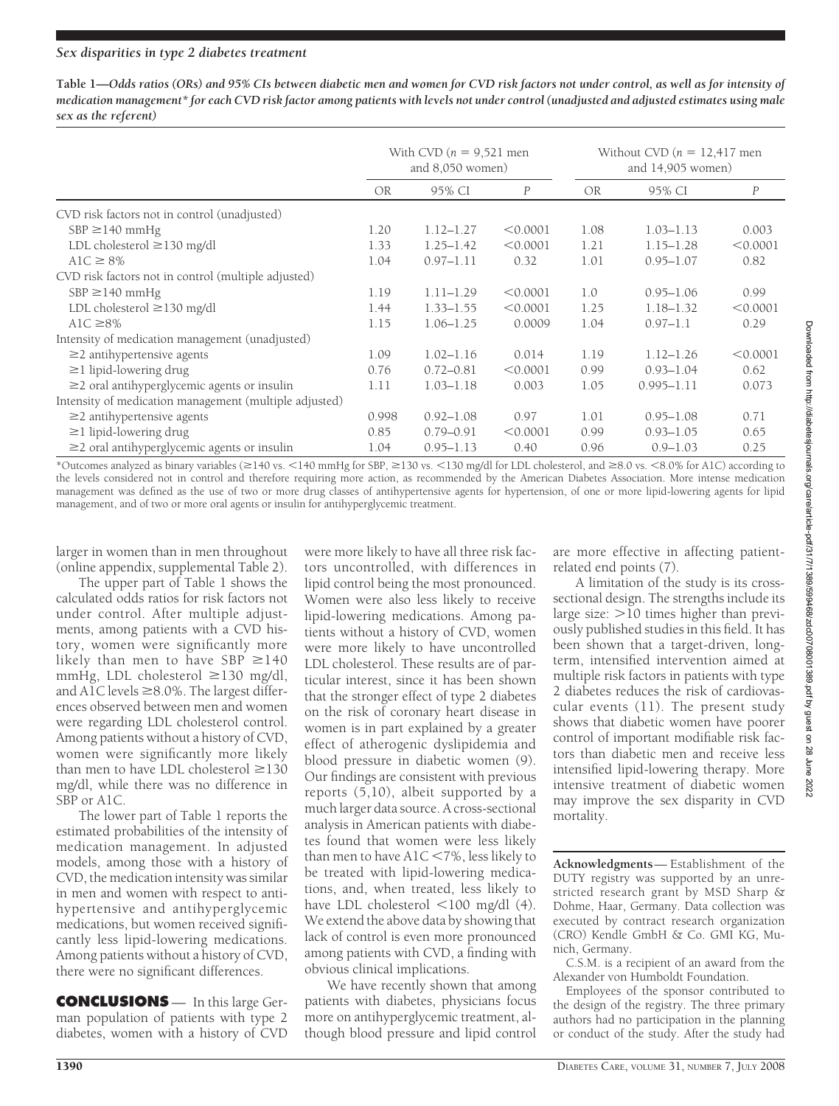## *Sex disparities in type 2 diabetes treatment*

**Table 1—***Odds ratios (ORs) and 95% CIs between diabetic men and women for CVD risk factors not under control, as well as for intensity of medication management\* for each CVD risk factor among patients with levels not under control (unadjusted and adjusted estimates using male sex as the referent)*

|                                                        | With CVD $(n = 9.521$ men<br>and $8,050$ women) |               |                  | Without CVD $(n = 12,417$ men<br>and $14,905$ women) |                |                  |
|--------------------------------------------------------|-------------------------------------------------|---------------|------------------|------------------------------------------------------|----------------|------------------|
|                                                        | <b>OR</b>                                       | 95% CI        | $\boldsymbol{P}$ | OR.                                                  | 95% CI         | $\boldsymbol{P}$ |
| CVD risk factors not in control (unadjusted)           |                                                 |               |                  |                                                      |                |                  |
| $SBP \geq 140$ mmHg                                    | 1.20                                            | $1.12 - 1.27$ | < 0.0001         | 1.08                                                 | $1.03 - 1.13$  | 0.003            |
| LDL cholesterol $\geq$ 130 mg/dl                       | 1.33                                            | $1.25 - 1.42$ | < 0.0001         | 1.21                                                 | $1.15 - 1.28$  | < 0.0001         |
| $A1C \geq 8\%$                                         | 1.04                                            | $0.97 - 1.11$ | 0.32             | 1.01                                                 | $0.95 - 1.07$  | 0.82             |
| CVD risk factors not in control (multiple adjusted)    |                                                 |               |                  |                                                      |                |                  |
| $SBP \geq 140$ mmHg                                    | 1.19                                            | $1.11 - 1.29$ | < 0.0001         | 1.0                                                  | $0.95 - 1.06$  | 0.99             |
| LDL cholesterol $\geq$ 130 mg/dl                       | 1.44                                            | $1.33 - 1.55$ | < 0.0001         | 1.25                                                 | $1.18 - 1.32$  | < 0.0001         |
| AlC $\geq$ 8%                                          | 1.15                                            | $1.06 - 1.25$ | 0.0009           | 1.04                                                 | $0.97 - 1.1$   | 0.29             |
| Intensity of medication management (unadjusted)        |                                                 |               |                  |                                                      |                |                  |
| $\geq$ 2 antihypertensive agents                       | 1.09                                            | $1.02 - 1.16$ | 0.014            | 1.19                                                 | $1.12 - 1.26$  | < 0.0001         |
| $\geq$ 1 lipid-lowering drug                           | 0.76                                            | $0.72 - 0.81$ | < 0.0001         | 0.99                                                 | $0.93 - 1.04$  | 0.62             |
| $\geq$ 2 oral antihyperglycemic agents or insulin      | 1.11                                            | $1.03 - 1.18$ | 0.003            | 1.05                                                 | $0.995 - 1.11$ | 0.073            |
| Intensity of medication management (multiple adjusted) |                                                 |               |                  |                                                      |                |                  |
| $\geq$ 2 antihypertensive agents                       | 0.998                                           | $0.92 - 1.08$ | 0.97             | 1.01                                                 | $0.95 - 1.08$  | 0.71             |
| $\geq$ 1 lipid-lowering drug                           | 0.85                                            | $0.79 - 0.91$ | < 0.0001         | 0.99                                                 | $0.93 - 1.05$  | 0.65             |
| $\geq$ 2 oral antihyperglycemic agents or insulin      | 1.04                                            | $0.95 - 1.13$ | 0.40             | 0.96                                                 | $0.9 - 1.03$   | 0.25             |

\*Outcomes analyzed as binary variables (≥140 vs. <140 mmHg for SBP, ≥130 vs. <130 mg/dl for LDL cholesterol, and ≥8.0 vs. <8.0% for A1C) according to the levels considered not in control and therefore requiring more action, as recommended by the American Diabetes Association. More intense medication management was defined as the use of two or more drug classes of antihypertensive agents for hypertension, of one or more lipid-lowering agents for lipid management, and of two or more oral agents or insulin for antihyperglycemic treatment.

larger in women than in men throughout (online appendix, supplemental Table 2).

The upper part of Table 1 shows the calculated odds ratios for risk factors not under control. After multiple adjustments, among patients with a CVD history, women were significantly more likely than men to have SBP  $\geq$ 140 mmHg, LDL cholesterol  $\geq$ 130 mg/dl, and A1C levels  $\geq$ 8.0%. The largest differences observed between men and women were regarding LDL cholesterol control. Among patients without a history of CVD, women were significantly more likely than men to have LDL cholesterol  $\geq$ 130 mg/dl, while there was no difference in SBP or A1C.

The lower part of Table 1 reports the estimated probabilities of the intensity of medication management. In adjusted models, among those with a history of CVD, the medication intensity was similar in men and women with respect to antihypertensive and antihyperglycemic medications, but women received significantly less lipid-lowering medications. Among patients without a history of CVD, there were no significant differences.

**CONCLUSIONS** — In this large German population of patients with type 2 diabetes, women with a history of CVD

were more likely to have all three risk factors uncontrolled, with differences in lipid control being the most pronounced. Women were also less likely to receive lipid-lowering medications. Among patients without a history of CVD, women were more likely to have uncontrolled LDL cholesterol. These results are of particular interest, since it has been shown that the stronger effect of type 2 diabetes on the risk of coronary heart disease in women is in part explained by a greater effect of atherogenic dyslipidemia and blood pressure in diabetic women (9). Our findings are consistent with previous reports (5,10), albeit supported by a much larger data source. A cross-sectional analysis in American patients with diabetes found that women were less likely than men to have  $A1C < 7\%$ , less likely to be treated with lipid-lowering medications, and, when treated, less likely to have LDL cholesterol  $\leq 100$  mg/dl (4). We extend the above data by showing that lack of control is even more pronounced among patients with CVD, a finding with obvious clinical implications.

We have recently shown that among patients with diabetes, physicians focus more on antihyperglycemic treatment, although blood pressure and lipid control

are more effective in affecting patientrelated end points (7).

A limitation of the study is its crosssectional design. The strengths include its large size:  $>$ 10 times higher than previously published studies in this field. It has been shown that a target-driven, longterm, intensified intervention aimed at multiple risk factors in patients with type 2 diabetes reduces the risk of cardiovascular events (11). The present study shows that diabetic women have poorer control of important modifiable risk factors than diabetic men and receive less intensified lipid-lowering therapy. More intensive treatment of diabetic women may improve the sex disparity in CVD mortality.

**Acknowledgments**— Establishment of the DUTY registry was supported by an unrestricted research grant by MSD Sharp & Dohme, Haar, Germany. Data collection was executed by contract research organization (CRO) Kendle GmbH & Co. GMI KG, Munich, Germany.

C.S.M. is a recipient of an award from the Alexander von Humboldt Foundation.

Employees of the sponsor contributed to the design of the registry. The three primary authors had no participation in the planning or conduct of the study. After the study had